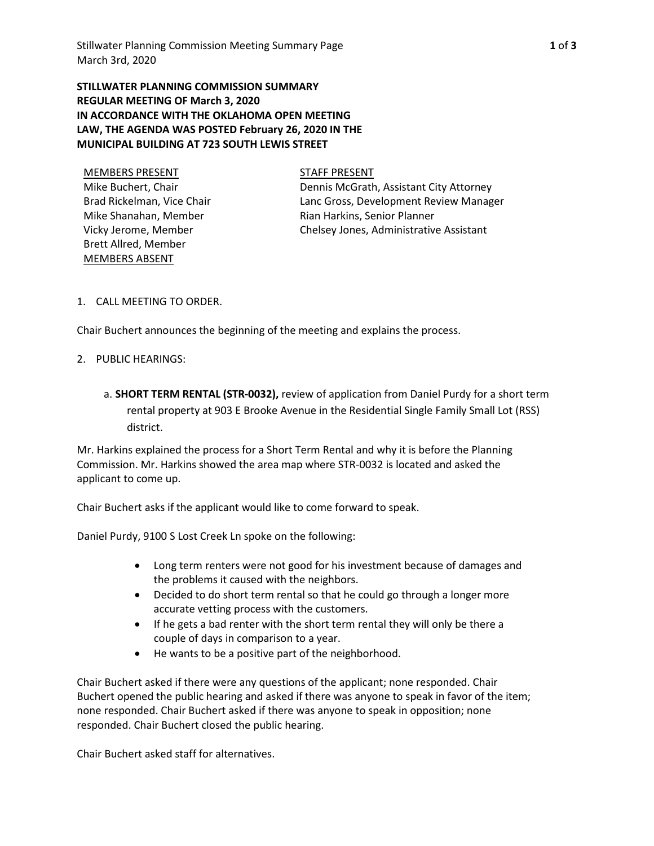**STILLWATER PLANNING COMMISSION SUMMARY REGULAR MEETING OF March 3, 2020 IN ACCORDANCE WITH THE OKLAHOMA OPEN MEETING LAW, THE AGENDA WAS POSTED February 26, 2020 IN THE MUNICIPAL BUILDING AT 723 SOUTH LEWIS STREET**

MEMBERS PRESENT STAFF PRESENT Mike Buchert, Chair Brad Rickelman, Vice Chair Mike Shanahan, Member Vicky Jerome, Member Brett Allred, Member MEMBERS ABSENT

Dennis McGrath, Assistant City Attorney Lanc Gross, Development Review Manager Rian Harkins, Senior Planner Chelsey Jones, Administrative Assistant

1. CALL MEETING TO ORDER.

Chair Buchert announces the beginning of the meeting and explains the process.

- 2. PUBLIC HEARINGS:
	- a. **SHORT TERM RENTAL (STR-0032),** review of application from Daniel Purdy for a short term rental property at 903 E Brooke Avenue in the Residential Single Family Small Lot (RSS) district.

Mr. Harkins explained the process for a Short Term Rental and why it is before the Planning Commission. Mr. Harkins showed the area map where STR-0032 is located and asked the applicant to come up.

Chair Buchert asks if the applicant would like to come forward to speak.

Daniel Purdy, 9100 S Lost Creek Ln spoke on the following:

- Long term renters were not good for his investment because of damages and the problems it caused with the neighbors.
- Decided to do short term rental so that he could go through a longer more accurate vetting process with the customers.
- If he gets a bad renter with the short term rental they will only be there a couple of days in comparison to a year.
- He wants to be a positive part of the neighborhood.

Chair Buchert asked if there were any questions of the applicant; none responded. Chair Buchert opened the public hearing and asked if there was anyone to speak in favor of the item; none responded. Chair Buchert asked if there was anyone to speak in opposition; none responded. Chair Buchert closed the public hearing.

Chair Buchert asked staff for alternatives.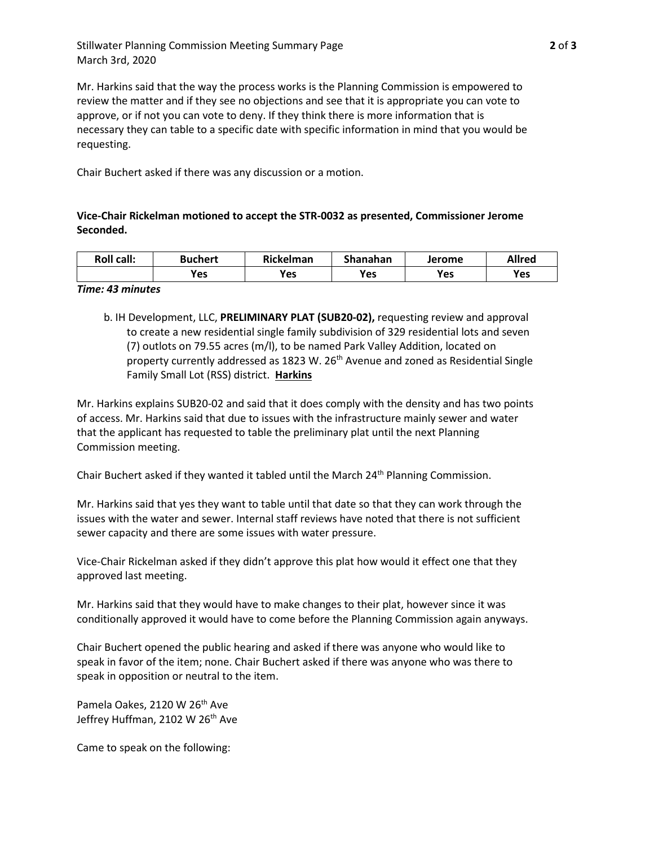Stillwater Planning Commission Meeting Summary Page **2** of **3** March 3rd, 2020

Mr. Harkins said that the way the process works is the Planning Commission is empowered to review the matter and if they see no objections and see that it is appropriate you can vote to approve, or if not you can vote to deny. If they think there is more information that is necessary they can table to a specific date with specific information in mind that you would be requesting.

Chair Buchert asked if there was any discussion or a motion.

# **Vice-Chair Rickelman motioned to accept the STR-0032 as presented, Commissioner Jerome Seconded.**

| <b>Roll call:</b> | <b>Buchert</b> | Rickelman | Shanahan | Jerome | <b>Allred</b> |
|-------------------|----------------|-----------|----------|--------|---------------|
|                   | <b>Yes</b>     | Yes       | Yes      | Yes    | Yes           |

## *Time: 43 minutes*

b. IH Development, LLC, **PRELIMINARY PLAT (SUB20-02),** requesting review and approval to create a new residential single family subdivision of 329 residential lots and seven (7) outlots on 79.55 acres (m/l), to be named Park Valley Addition, located on property currently addressed as 1823 W. 26<sup>th</sup> Avenue and zoned as Residential Single Family Small Lot (RSS) district. **Harkins**

Mr. Harkins explains SUB20-02 and said that it does comply with the density and has two points of access. Mr. Harkins said that due to issues with the infrastructure mainly sewer and water that the applicant has requested to table the preliminary plat until the next Planning Commission meeting.

Chair Buchert asked if they wanted it tabled until the March 24<sup>th</sup> Planning Commission.

Mr. Harkins said that yes they want to table until that date so that they can work through the issues with the water and sewer. Internal staff reviews have noted that there is not sufficient sewer capacity and there are some issues with water pressure.

Vice-Chair Rickelman asked if they didn't approve this plat how would it effect one that they approved last meeting.

Mr. Harkins said that they would have to make changes to their plat, however since it was conditionally approved it would have to come before the Planning Commission again anyways.

Chair Buchert opened the public hearing and asked if there was anyone who would like to speak in favor of the item; none. Chair Buchert asked if there was anyone who was there to speak in opposition or neutral to the item.

Pamela Oakes, 2120 W 26<sup>th</sup> Ave Jeffrey Huffman, 2102 W 26<sup>th</sup> Ave

Came to speak on the following: